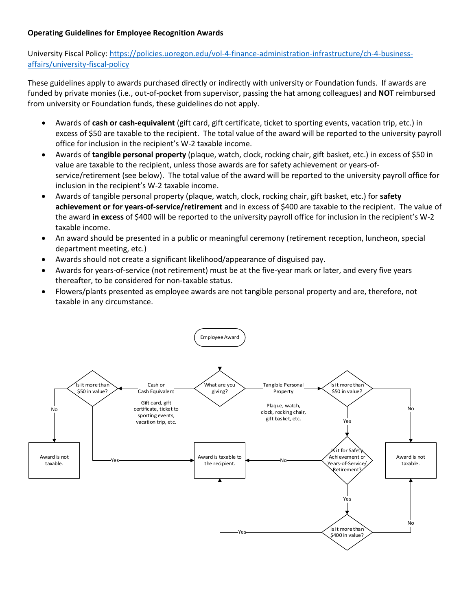## **Operating Guidelines for Employee Recognition Awards**

University Fiscal Policy: [https://policies.uoregon.edu/vol-4-finance-administration-infrastructure/ch-4-business](https://policies.uoregon.edu/vol-4-finance-administration-infrastructure/ch-4-business-affairs/university-fiscal-policy)[affairs/university-fiscal-policy](https://policies.uoregon.edu/vol-4-finance-administration-infrastructure/ch-4-business-affairs/university-fiscal-policy)

These guidelines apply to awards purchased directly or indirectly with university or Foundation funds. If awards are funded by private monies (i.e., out-of-pocket from supervisor, passing the hat among colleagues) and **NOT** reimbursed from university or Foundation funds, these guidelines do not apply.

- Awards of **cash or cash-equivalent** (gift card, gift certificate, ticket to sporting events, vacation trip, etc.) in excess of \$50 are taxable to the recipient. The total value of the award will be reported to the university payroll office for inclusion in the recipient's W-2 taxable income.
- Awards of **tangible personal property** (plaque, watch, clock, rocking chair, gift basket, etc.) in excess of \$50 in value are taxable to the recipient, unless those awards are for safety achievement or years-ofservice/retirement (see below). The total value of the award will be reported to the university payroll office for inclusion in the recipient's W-2 taxable income.
- Awards of tangible personal property (plaque, watch, clock, rocking chair, gift basket, etc.) for **safety achievement or for years-of-service/retirement** and in excess of \$400 are taxable to the recipient. The value of the award **in excess** of \$400 will be reported to the university payroll office for inclusion in the recipient's W-2 taxable income.
- An award should be presented in a public or meaningful ceremony (retirement reception, luncheon, special department meeting, etc.)
- Awards should not create a significant likelihood/appearance of disguised pay.
- Awards for years-of-service (not retirement) must be at the five-year mark or later, and every five years thereafter, to be considered for non-taxable status.
- Flowers/plants presented as employee awards are not tangible personal property and are, therefore, not taxable in any circumstance.